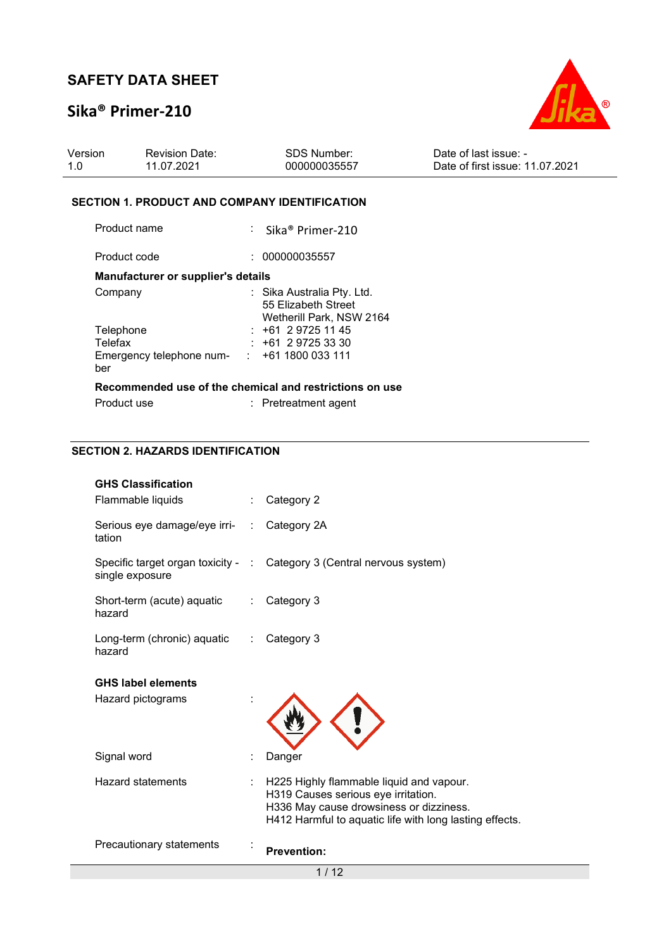## **Sika® Primer-210**



| Version | <b>Revision Date:</b> | SDS Number:  | Date of last issue: -           |
|---------|-----------------------|--------------|---------------------------------|
| 1.0     | 11.07.2021            | 000000035557 | Date of first issue: 11.07.2021 |

### **SECTION 1. PRODUCT AND COMPANY IDENTIFICATION**

| Product name                       | : Sika <sup>®</sup> Primer-210                                                |
|------------------------------------|-------------------------------------------------------------------------------|
| Product code                       | 000000035557                                                                  |
| Manufacturer or supplier's details |                                                                               |
| Company                            | : Sika Australia Pty. Ltd.<br>55 Elizabeth Street<br>Wetherill Park, NSW 2164 |
| Telephone                          | $: +61297251145$                                                              |
| Telefax                            | $: +61297253330$                                                              |
| Emergency telephone num-<br>ber    | : 1611800033111                                                               |
|                                    | Recommended use of the chemical and restrictions on use                       |
| Product use                        | $:$ Pretreatment agent                                                        |

### **SECTION 2. HAZARDS IDENTIFICATION**

| <b>GHS Classification</b>              |                              |                                                                                                                                                                                       |
|----------------------------------------|------------------------------|---------------------------------------------------------------------------------------------------------------------------------------------------------------------------------------|
| Flammable liquids                      |                              | Category 2                                                                                                                                                                            |
| Serious eye damage/eye irri-<br>tation | $\mathbb{R}^{\mathbb{Z}}$    | Category 2A                                                                                                                                                                           |
| single exposure                        |                              | Specific target organ toxicity - : Category 3 (Central nervous system)                                                                                                                |
| Short-term (acute) aquatic<br>hazard   | $\mathcal{L}^{\mathcal{L}}$  | Category 3                                                                                                                                                                            |
| Long-term (chronic) aquatic<br>hazard  | $\mathcal{L}_{\mathrm{max}}$ | Category 3                                                                                                                                                                            |
| <b>GHS label elements</b>              |                              |                                                                                                                                                                                       |
| Hazard pictograms                      |                              |                                                                                                                                                                                       |
| Signal word                            |                              | Danger                                                                                                                                                                                |
| Hazard statements                      |                              | H225 Highly flammable liquid and vapour.<br>H319 Causes serious eye irritation.<br>H336 May cause drowsiness or dizziness.<br>H412 Harmful to aquatic life with long lasting effects. |
| Precautionary statements               |                              | <b>Prevention:</b>                                                                                                                                                                    |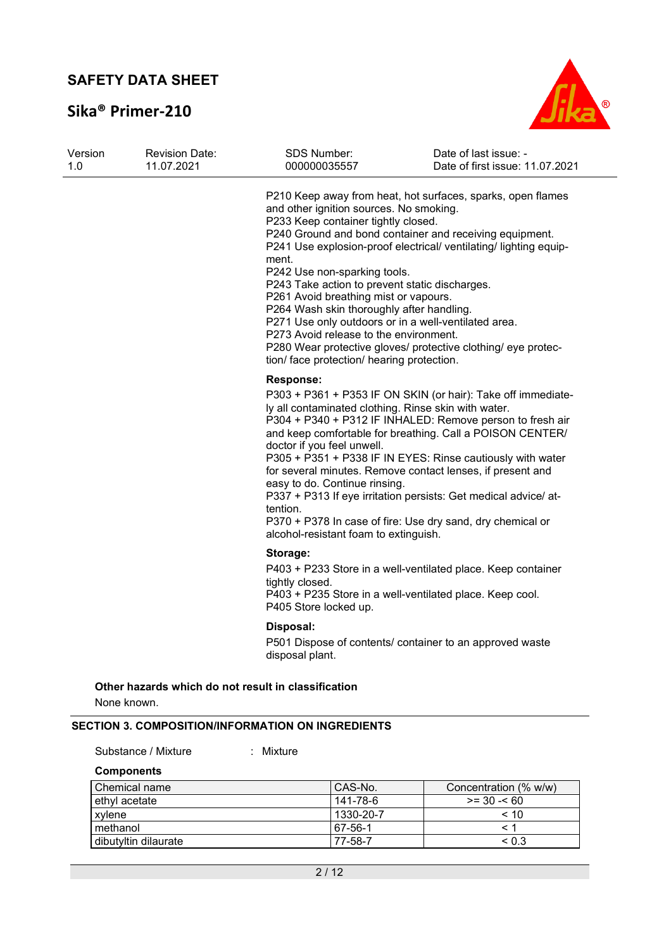# **Sika® Primer-210**



| Version<br>1.0 | <b>Revision Date:</b><br>11.07.2021                                | <b>SDS Number:</b><br>000000035557                                                                                                                                                                                                                                                                                                                                                                                                                                                                 | Date of last issue: -<br>Date of first issue: 11.07.2021                                                                                                                                                                                                                                                                                                                                                                                            |
|----------------|--------------------------------------------------------------------|----------------------------------------------------------------------------------------------------------------------------------------------------------------------------------------------------------------------------------------------------------------------------------------------------------------------------------------------------------------------------------------------------------------------------------------------------------------------------------------------------|-----------------------------------------------------------------------------------------------------------------------------------------------------------------------------------------------------------------------------------------------------------------------------------------------------------------------------------------------------------------------------------------------------------------------------------------------------|
|                |                                                                    | and other ignition sources. No smoking.<br>P233 Keep container tightly closed.<br>ment.<br>P242 Use non-sparking tools.<br>P243 Take action to prevent static discharges.<br>P261 Avoid breathing mist or vapours.<br>P264 Wash skin thoroughly after handling.<br>P271 Use only outdoors or in a well-ventilated area.<br>P273 Avoid release to the environment.<br>tion/ face protection/ hearing protection.                                                                                    | P210 Keep away from heat, hot surfaces, sparks, open flames<br>P240 Ground and bond container and receiving equipment.<br>P241 Use explosion-proof electrical/ ventilating/ lighting equip-<br>P280 Wear protective gloves/ protective clothing/ eye protec-                                                                                                                                                                                        |
|                |                                                                    | <b>Response:</b><br>ly all contaminated clothing. Rinse skin with water.<br>doctor if you feel unwell.<br>easy to do. Continue rinsing.<br>tention.<br>alcohol-resistant foam to extinguish.                                                                                                                                                                                                                                                                                                       | P303 + P361 + P353 IF ON SKIN (or hair): Take off immediate-<br>P304 + P340 + P312 IF INHALED: Remove person to fresh air<br>and keep comfortable for breathing. Call a POISON CENTER/<br>P305 + P351 + P338 IF IN EYES: Rinse cautiously with water<br>for several minutes. Remove contact lenses, if present and<br>P337 + P313 If eye irritation persists: Get medical advice/ at-<br>P370 + P378 In case of fire: Use dry sand, dry chemical or |
|                |                                                                    | Storage:                                                                                                                                                                                                                                                                                                                                                                                                                                                                                           |                                                                                                                                                                                                                                                                                                                                                                                                                                                     |
|                |                                                                    | tightly closed.<br>P405 Store locked up.                                                                                                                                                                                                                                                                                                                                                                                                                                                           | P403 + P233 Store in a well-ventilated place. Keep container<br>P403 + P235 Store in a well-ventilated place. Keep cool.                                                                                                                                                                                                                                                                                                                            |
|                |                                                                    | Disposal:<br>disposal plant.                                                                                                                                                                                                                                                                                                                                                                                                                                                                       | P501 Dispose of contents/ container to an approved waste                                                                                                                                                                                                                                                                                                                                                                                            |
|                | Other hazards which do not result in classification<br>None known. | $\left( \frac{1}{2} \right) \left( \frac{1}{2} \right) \left( \frac{1}{2} \right) \left( \frac{1}{2} \right) \left( \frac{1}{2} \right) \left( \frac{1}{2} \right) \left( \frac{1}{2} \right) \left( \frac{1}{2} \right) \left( \frac{1}{2} \right) \left( \frac{1}{2} \right) \left( \frac{1}{2} \right) \left( \frac{1}{2} \right) \left( \frac{1}{2} \right) \left( \frac{1}{2} \right) \left( \frac{1}{2} \right) \left( \frac{1}{2} \right) \left( \frac{1}{2} \right$<br><b>UBLAREBIEDER</b> |                                                                                                                                                                                                                                                                                                                                                                                                                                                     |

#### **SECTION 3. COMPOSITION/INFORMATION ON INGREDIENTS**

Substance / Mixture : Mixture

| <b>Components</b>    |           |                       |
|----------------------|-----------|-----------------------|
| Chemical name        | CAS-No.   | Concentration (% w/w) |
| ethvl acetate        | 141-78-6  | $>= 30 - 60$          |
| xvlene               | 1330-20-7 | < 10                  |
| methanol             | 67-56-1   |                       |
| dibutyltin dilaurate | 77-58-7   | ${}_{0.3}$            |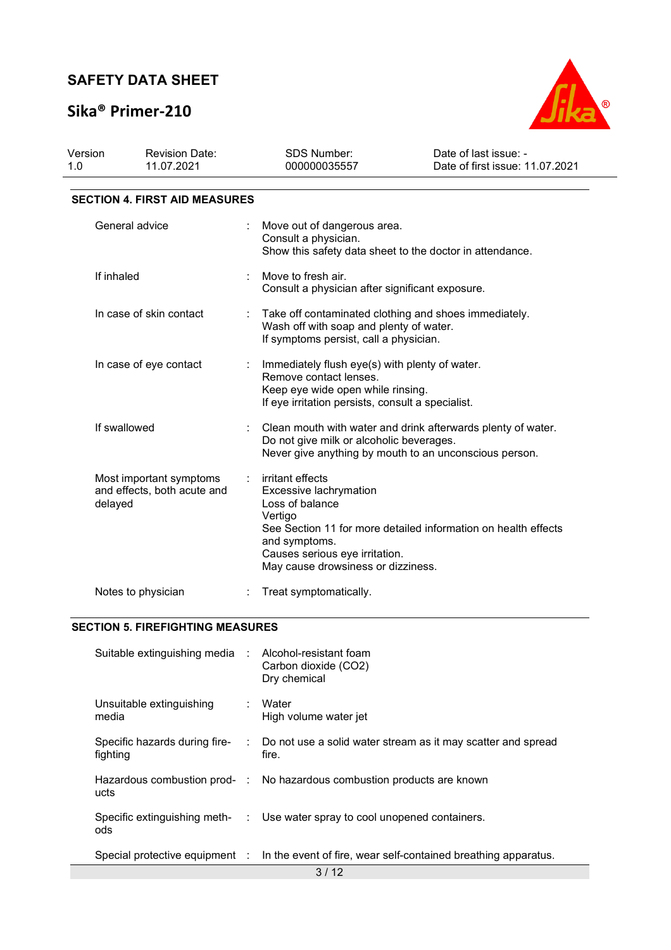# **Sika® Primer-210**



| Version<br>1.0 | <b>Revision Date:</b><br>11.07.2021                    | <b>SDS Number:</b><br>000000035557                                                                                                                                 | Date of last issue: -<br>Date of first issue: 11.07.2021                                                               |
|----------------|--------------------------------------------------------|--------------------------------------------------------------------------------------------------------------------------------------------------------------------|------------------------------------------------------------------------------------------------------------------------|
|                | <b>SECTION 4. FIRST AID MEASURES</b>                   |                                                                                                                                                                    |                                                                                                                        |
|                | General advice                                         | Move out of dangerous area.<br>Consult a physician.                                                                                                                | Show this safety data sheet to the doctor in attendance.                                                               |
| If inhaled     |                                                        | Move to fresh air.<br>Consult a physician after significant exposure.                                                                                              |                                                                                                                        |
|                | In case of skin contact                                | Take off contaminated clothing and shoes immediately.<br>Wash off with soap and plenty of water.<br>If symptoms persist, call a physician.                         |                                                                                                                        |
|                | In case of eye contact                                 | Immediately flush eye(s) with plenty of water.<br>Remove contact lenses.<br>Keep eye wide open while rinsing.<br>If eye irritation persists, consult a specialist. |                                                                                                                        |
|                | If swallowed                                           | Do not give milk or alcoholic beverages.                                                                                                                           | Clean mouth with water and drink afterwards plenty of water.<br>Never give anything by mouth to an unconscious person. |
| delayed        | Most important symptoms<br>and effects, both acute and | irritant effects<br>Excessive lachrymation<br>Loss of balance<br>Vertigo<br>and symptoms.<br>Causes serious eye irritation.<br>May cause drowsiness or dizziness.  | See Section 11 for more detailed information on health effects                                                         |
|                | Notes to physician                                     | Treat symptomatically.                                                                                                                                             |                                                                                                                        |

### **SECTION 5. FIREFIGHTING MEASURES**

| Suitable extinguishing media : Alcohol-resistant foam |  | Carbon dioxide (CO2)<br>Dry chemical                                                          |  |  |
|-------------------------------------------------------|--|-----------------------------------------------------------------------------------------------|--|--|
| Unsuitable extinguishing<br>media                     |  | : Water<br>High volume water jet                                                              |  |  |
| Specific hazards during fire-<br>fighting             |  | : Do not use a solid water stream as it may scatter and spread<br>fire.                       |  |  |
| ucts                                                  |  | Hazardous combustion prod- : No hazardous combustion products are known                       |  |  |
| Specific extinguishing meth-<br>ods                   |  | : Use water spray to cool unopened containers.                                                |  |  |
|                                                       |  | Special protective equipment : ln the event of fire, wear self-contained breathing apparatus. |  |  |
| 3/12                                                  |  |                                                                                               |  |  |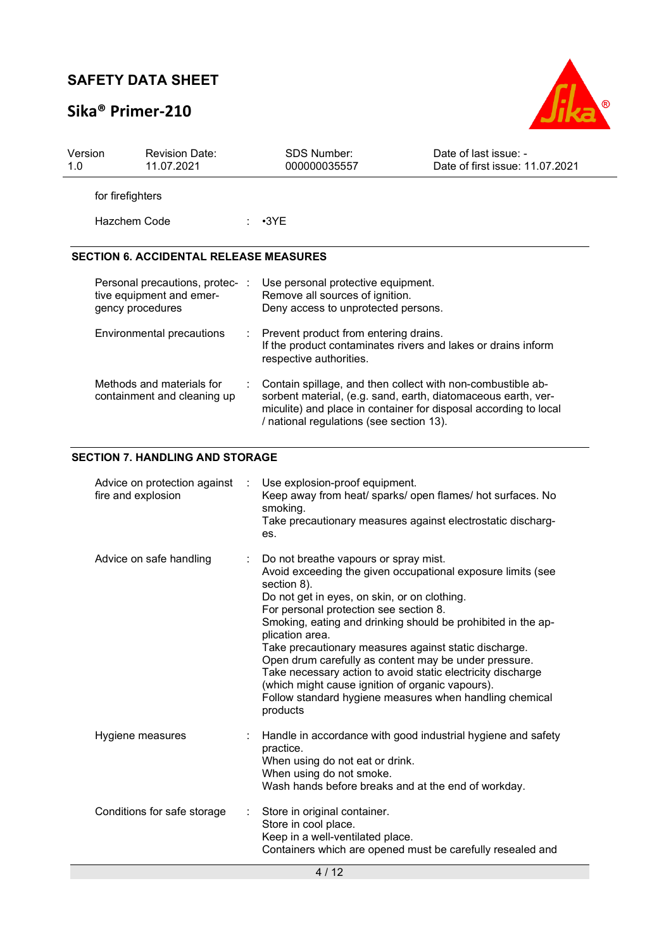# **Sika® Primer-210**



| Version<br>1.0 | <b>Revision Date:</b><br>11.07.2021                                             |     | SDS Number:<br>000000035557                                                                                                                                                                                                                                                                                                                                                                                                                                                                                                                                                                                 | Date of last issue: -<br>Date of first issue: 11.07.2021 |
|----------------|---------------------------------------------------------------------------------|-----|-------------------------------------------------------------------------------------------------------------------------------------------------------------------------------------------------------------------------------------------------------------------------------------------------------------------------------------------------------------------------------------------------------------------------------------------------------------------------------------------------------------------------------------------------------------------------------------------------------------|----------------------------------------------------------|
|                | for firefighters                                                                |     |                                                                                                                                                                                                                                                                                                                                                                                                                                                                                                                                                                                                             |                                                          |
|                | <b>Hazchem Code</b>                                                             |     | $\cdot$ 3YE                                                                                                                                                                                                                                                                                                                                                                                                                                                                                                                                                                                                 |                                                          |
|                | <b>SECTION 6. ACCIDENTAL RELEASE MEASURES</b>                                   |     |                                                                                                                                                                                                                                                                                                                                                                                                                                                                                                                                                                                                             |                                                          |
|                | Personal precautions, protec- :<br>tive equipment and emer-<br>gency procedures |     | Use personal protective equipment.<br>Remove all sources of ignition.<br>Deny access to unprotected persons.                                                                                                                                                                                                                                                                                                                                                                                                                                                                                                |                                                          |
|                | Environmental precautions                                                       |     | Prevent product from entering drains.<br>If the product contaminates rivers and lakes or drains inform<br>respective authorities.                                                                                                                                                                                                                                                                                                                                                                                                                                                                           |                                                          |
|                | Methods and materials for<br>containment and cleaning up                        |     | Contain spillage, and then collect with non-combustible ab-<br>sorbent material, (e.g. sand, earth, diatomaceous earth, ver-<br>miculite) and place in container for disposal according to local<br>/ national regulations (see section 13).                                                                                                                                                                                                                                                                                                                                                                |                                                          |
|                | <b>SECTION 7. HANDLING AND STORAGE</b>                                          |     |                                                                                                                                                                                                                                                                                                                                                                                                                                                                                                                                                                                                             |                                                          |
|                | Advice on protection against<br>fire and explosion                              | es. | Use explosion-proof equipment.<br>Keep away from heat/ sparks/ open flames/ hot surfaces. No<br>smoking.<br>Take precautionary measures against electrostatic discharg-                                                                                                                                                                                                                                                                                                                                                                                                                                     |                                                          |
|                | Advice on safe handling                                                         |     | Do not breathe vapours or spray mist.<br>Avoid exceeding the given occupational exposure limits (see<br>section 8).<br>Do not get in eyes, on skin, or on clothing.<br>For personal protection see section 8.<br>Smoking, eating and drinking should be prohibited in the ap-<br>plication area.<br>Take precautionary measures against static discharge<br>Open drum carefully as content may be under pressure.<br>Take necessary action to avoid static electricity discharge<br>(which might cause ignition of organic vapours).<br>Follow standard hygiene measures when handling chemical<br>products |                                                          |
|                | Hygiene measures                                                                |     | Handle in accordance with good industrial hygiene and safety<br>practice.<br>When using do not eat or drink.<br>When using do not smoke.<br>Wash hands before breaks and at the end of workday.                                                                                                                                                                                                                                                                                                                                                                                                             |                                                          |
|                | Conditions for safe storage                                                     |     | Store in original container.<br>Store in cool place.<br>Keep in a well-ventilated place.<br>Containers which are opened must be carefully resealed and                                                                                                                                                                                                                                                                                                                                                                                                                                                      |                                                          |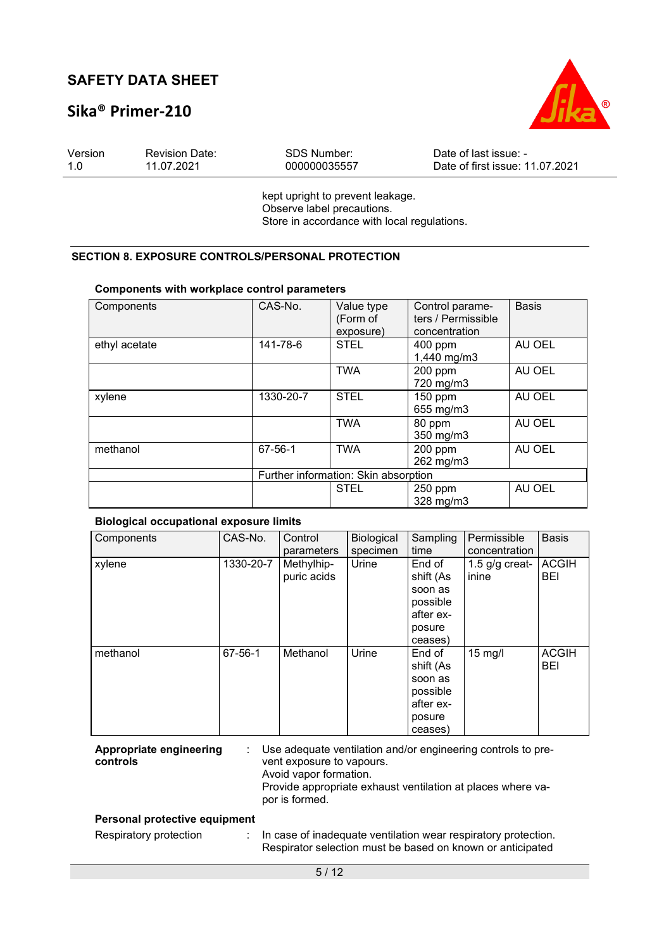## **Sika® Primer-210**



| Version | <b>Revision Date:</b> | SDS Number:  | Date of last issue: -           |
|---------|-----------------------|--------------|---------------------------------|
| 1.0     | 11.07.2021            | 000000035557 | Date of first issue: 11.07.2021 |
|         |                       |              |                                 |

kept upright to prevent leakage. Observe label precautions. Store in accordance with local regulations.

### **SECTION 8. EXPOSURE CONTROLS/PERSONAL PROTECTION**

| <u>oomponento with workplace control parameters</u> |           |                                      |                                                        |              |  |  |
|-----------------------------------------------------|-----------|--------------------------------------|--------------------------------------------------------|--------------|--|--|
| Components                                          | CAS-No.   | Value type<br>(Form of<br>exposure)  | Control parame-<br>ters / Permissible<br>concentration | <b>Basis</b> |  |  |
| ethyl acetate                                       | 141-78-6  | <b>STEL</b>                          | 400 ppm<br>1,440 mg/m3                                 | AU OEL       |  |  |
|                                                     |           | <b>TWA</b>                           | 200 ppm<br>720 mg/m3                                   | AU OEL       |  |  |
| xylene                                              | 1330-20-7 | <b>STEL</b>                          | 150 ppm<br>655 mg/m3                                   | AU OEL       |  |  |
|                                                     |           | <b>TWA</b>                           | 80 ppm<br>350 mg/m3                                    | AU OEL       |  |  |
| methanol                                            | 67-56-1   | <b>TWA</b>                           | 200 ppm<br>262 mg/m3                                   | AU OEL       |  |  |
|                                                     |           | Further information: Skin absorption |                                                        |              |  |  |
|                                                     |           | <b>STEL</b>                          | 250 ppm<br>328 mg/m3                                   | AU OEL       |  |  |

#### **Components with workplace control parameters**

#### **Biological occupational exposure limits**

| Components | CAS-No.   | Control<br>parameters     | Biological<br>specimen | Sampling<br>time                                                             | Permissible<br>concentration | <b>Basis</b>               |
|------------|-----------|---------------------------|------------------------|------------------------------------------------------------------------------|------------------------------|----------------------------|
| xylene     | 1330-20-7 | Methylhip-<br>puric acids | Urine                  | End of<br>shift (As<br>soon as<br>possible<br>after ex-<br>posure<br>ceases) | 1.5 $g/g$ creat-<br>inine    | <b>ACGIH</b><br><b>BEI</b> |
| methanol   | 67-56-1   | Methanol                  | Urine                  | End of<br>shift (As<br>soon as<br>possible<br>after ex-<br>posure<br>ceases) | $15$ mg/l                    | <b>ACGIH</b><br><b>BEI</b> |

**Appropriate engineering controls**  : Use adequate ventilation and/or engineering controls to prevent exposure to vapours. Avoid vapor formation. Provide appropriate exhaust ventilation at places where vapor is formed.

#### **Personal protective equipment**

Respiratory protection : In case of inadequate ventilation wear respiratory protection. Respirator selection must be based on known or anticipated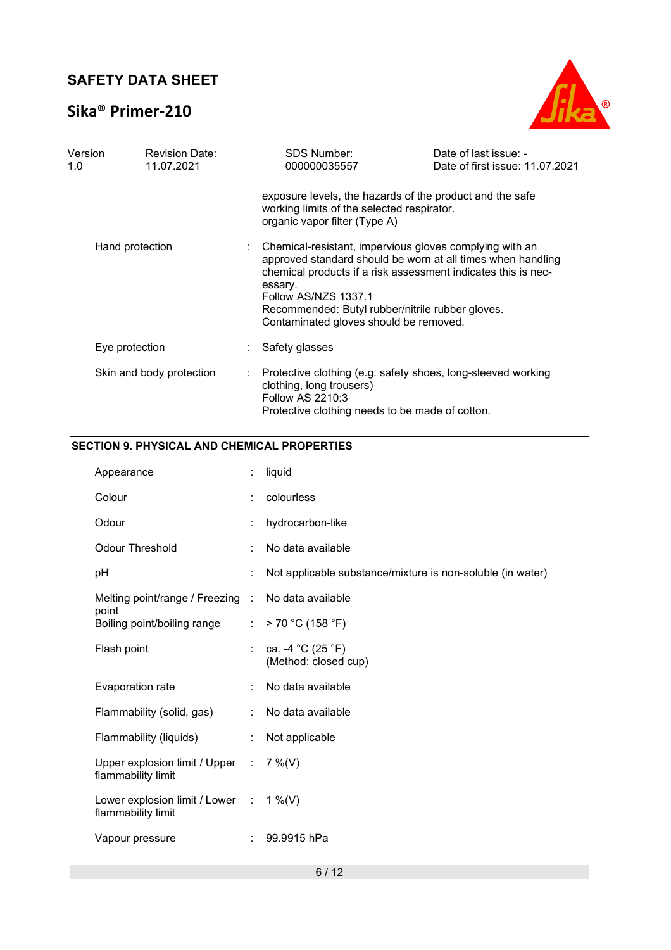## **Sika® Primer-210**



| Version<br>1.0 |                 | <b>Revision Date:</b><br>11.07.2021 | <b>SDS Number:</b><br>000000035557                                                                                                                                                                                                                                                                                       | Date of last issue: -<br>Date of first issue: 11.07.2021 |
|----------------|-----------------|-------------------------------------|--------------------------------------------------------------------------------------------------------------------------------------------------------------------------------------------------------------------------------------------------------------------------------------------------------------------------|----------------------------------------------------------|
|                |                 |                                     | exposure levels, the hazards of the product and the safe<br>working limits of the selected respirator.<br>organic vapor filter (Type A)                                                                                                                                                                                  |                                                          |
|                | Hand protection |                                     | Chemical-resistant, impervious gloves complying with an<br>approved standard should be worn at all times when handling<br>chemical products if a risk assessment indicates this is nec-<br>essary.<br>Follow AS/NZS 1337.1<br>Recommended: Butyl rubber/nitrile rubber gloves.<br>Contaminated gloves should be removed. |                                                          |
|                | Eye protection  |                                     | Safety glasses                                                                                                                                                                                                                                                                                                           |                                                          |
|                |                 | Skin and body protection            | Protective clothing (e.g. safety shoes, long-sleeved working<br>clothing, long trousers)<br><b>Follow AS 2210:3</b><br>Protective clothing needs to be made of cotton.                                                                                                                                                   |                                                          |

### **SECTION 9. PHYSICAL AND CHEMICAL PROPERTIES**

| Appearance                                                      |    | liquid                                                     |
|-----------------------------------------------------------------|----|------------------------------------------------------------|
| Colour                                                          |    | colourless                                                 |
| Odour                                                           | ÷  | hydrocarbon-like                                           |
| <b>Odour Threshold</b>                                          | ÷  | No data available                                          |
| рH                                                              |    | Not applicable substance/mixture is non-soluble (in water) |
| Melting point/range / Freezing :                                |    | No data available                                          |
| point<br>Boiling point/boiling range                            | t. | > 70 °C (158 °F)                                           |
| Flash point                                                     | t. | ca. -4 °C (25 °F)<br>(Method: closed cup)                  |
| Evaporation rate                                                | ÷  | No data available                                          |
| Flammability (solid, gas)                                       | ÷  | No data available                                          |
| Flammability (liquids)                                          | ÷  | Not applicable                                             |
| Upper explosion limit / Upper :<br>flammability limit           |    | $7\%$ (V)                                                  |
| Lower explosion limit / Lower : $1\%$ (V)<br>flammability limit |    |                                                            |
| Vapour pressure                                                 |    | 99.9915 hPa                                                |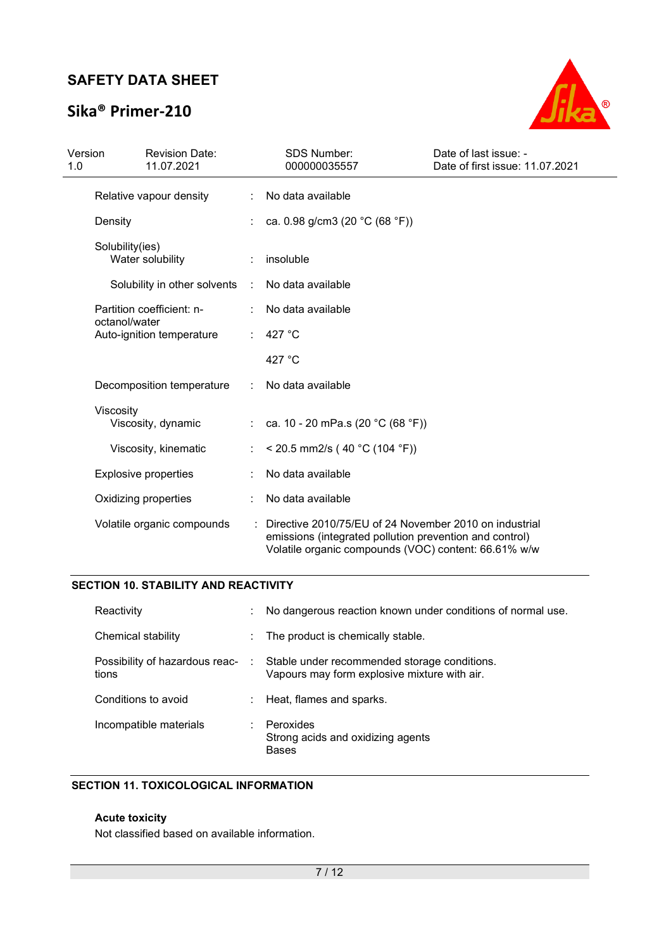## **Sika® Primer-210**



| Version<br>1.0 | <b>Revision Date:</b><br>11.07.2021        |   | <b>SDS Number:</b><br>000000035557                                                                                                                                        | Date of last issue: -<br>Date of first issue: 11.07.2021 |
|----------------|--------------------------------------------|---|---------------------------------------------------------------------------------------------------------------------------------------------------------------------------|----------------------------------------------------------|
|                | Relative vapour density                    |   | No data available                                                                                                                                                         |                                                          |
|                | Density                                    |   | ca. 0.98 g/cm3 (20 °C (68 °F))                                                                                                                                            |                                                          |
|                | Solubility(ies)<br>Water solubility        |   | insoluble                                                                                                                                                                 |                                                          |
|                | Solubility in other solvents               | ÷ | No data available                                                                                                                                                         |                                                          |
|                | Partition coefficient: n-<br>octanol/water |   | No data available                                                                                                                                                         |                                                          |
|                | Auto-ignition temperature                  |   | 427 °C                                                                                                                                                                    |                                                          |
|                |                                            |   | 427 $^{\circ}$ C                                                                                                                                                          |                                                          |
|                | Decomposition temperature                  | ÷ | No data available                                                                                                                                                         |                                                          |
|                | Viscosity<br>Viscosity, dynamic            |   | : ca. 10 - 20 mPa.s (20 °C (68 °F))                                                                                                                                       |                                                          |
|                | Viscosity, kinematic                       |   | < 20.5 mm2/s (40 °C (104 °F))                                                                                                                                             |                                                          |
|                | <b>Explosive properties</b>                |   | No data available                                                                                                                                                         |                                                          |
|                | Oxidizing properties                       |   | No data available                                                                                                                                                         |                                                          |
|                | Volatile organic compounds                 |   | Directive 2010/75/EU of 24 November 2010 on industrial<br>emissions (integrated pollution prevention and control)<br>Volatile organic compounds (VOC) content: 66.61% w/w |                                                          |

### **SECTION 10. STABILITY AND REACTIVITY**

| Reactivity                              | ÷  | No dangerous reaction known under conditions of normal use.                                  |
|-----------------------------------------|----|----------------------------------------------------------------------------------------------|
| Chemical stability                      |    | The product is chemically stable.                                                            |
| Possibility of hazardous reac-<br>tions | ÷. | Stable under recommended storage conditions.<br>Vapours may form explosive mixture with air. |
| Conditions to avoid                     |    | Heat, flames and sparks.                                                                     |
| Incompatible materials                  |    | Peroxides<br>Strong acids and oxidizing agents<br><b>Bases</b>                               |

### **SECTION 11. TOXICOLOGICAL INFORMATION**

### **Acute toxicity**

Not classified based on available information.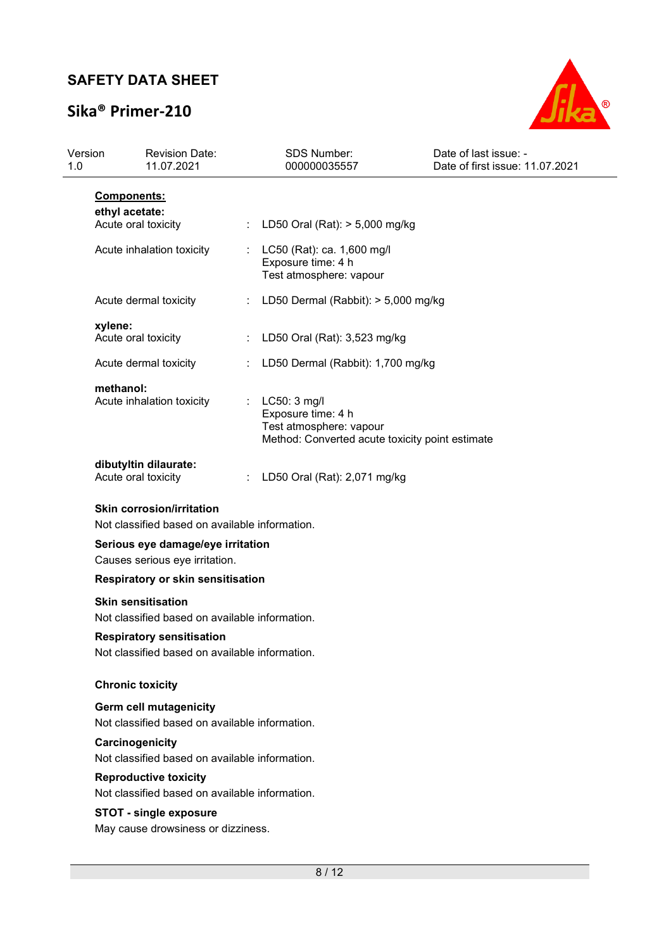# **Sika® Primer-210**



| Version<br>1.0 |                                                                             | <b>Revision Date:</b><br>11.07.2021                                                |   | SDS Number:<br>000000035557                                                                                      | Date of last issue: -<br>Date of first issue: 11.07.2021 |
|----------------|-----------------------------------------------------------------------------|------------------------------------------------------------------------------------|---|------------------------------------------------------------------------------------------------------------------|----------------------------------------------------------|
|                | <b>Components:</b>                                                          |                                                                                    |   |                                                                                                                  |                                                          |
|                | ethyl acetate:<br>Acute oral toxicity                                       |                                                                                    |   | : LD50 Oral (Rat): $> 5,000$ mg/kg                                                                               |                                                          |
|                | Acute inhalation toxicity                                                   |                                                                                    |   | LC50 (Rat): ca. 1,600 mg/l<br>Exposure time: 4 h<br>Test atmosphere: vapour                                      |                                                          |
|                | Acute dermal toxicity                                                       |                                                                                    | ÷ | LD50 Dermal (Rabbit): > 5,000 mg/kg                                                                              |                                                          |
|                | xylene:<br>Acute oral toxicity                                              |                                                                                    | ÷ | LD50 Oral (Rat): 3,523 mg/kg                                                                                     |                                                          |
|                | Acute dermal toxicity                                                       |                                                                                    |   | LD50 Dermal (Rabbit): 1,700 mg/kg                                                                                |                                                          |
|                | methanol:<br>Acute inhalation toxicity                                      |                                                                                    | ÷ | LC50: 3 mg/l<br>Exposure time: 4 h<br>Test atmosphere: vapour<br>Method: Converted acute toxicity point estimate |                                                          |
|                | dibutyltin dilaurate:<br>Acute oral toxicity                                |                                                                                    |   | LD50 Oral (Rat): 2,071 mg/kg                                                                                     |                                                          |
|                | <b>Skin corrosion/irritation</b>                                            | Not classified based on available information.                                     |   |                                                                                                                  |                                                          |
|                | Serious eye damage/eye irritation<br>Causes serious eye irritation.         |                                                                                    |   |                                                                                                                  |                                                          |
|                | Respiratory or skin sensitisation                                           |                                                                                    |   |                                                                                                                  |                                                          |
|                | <b>Skin sensitisation</b><br>Not classified based on available information. |                                                                                    |   |                                                                                                                  |                                                          |
|                |                                                                             | <b>Respiratory sensitisation</b><br>Not classified based on available information. |   |                                                                                                                  |                                                          |
|                | <b>Chronic toxicity</b>                                                     |                                                                                    |   |                                                                                                                  |                                                          |
|                | <b>Germ cell mutagenicity</b>                                               | Not classified based on available information.                                     |   |                                                                                                                  |                                                          |
|                | Carcinogenicity                                                             | Not classified based on available information.                                     |   |                                                                                                                  |                                                          |
|                | <b>Reproductive toxicity</b>                                                | Not classified based on available information.                                     |   |                                                                                                                  |                                                          |
|                | <b>STOT - single exposure</b><br>May cause drowsiness or dizziness.         |                                                                                    |   |                                                                                                                  |                                                          |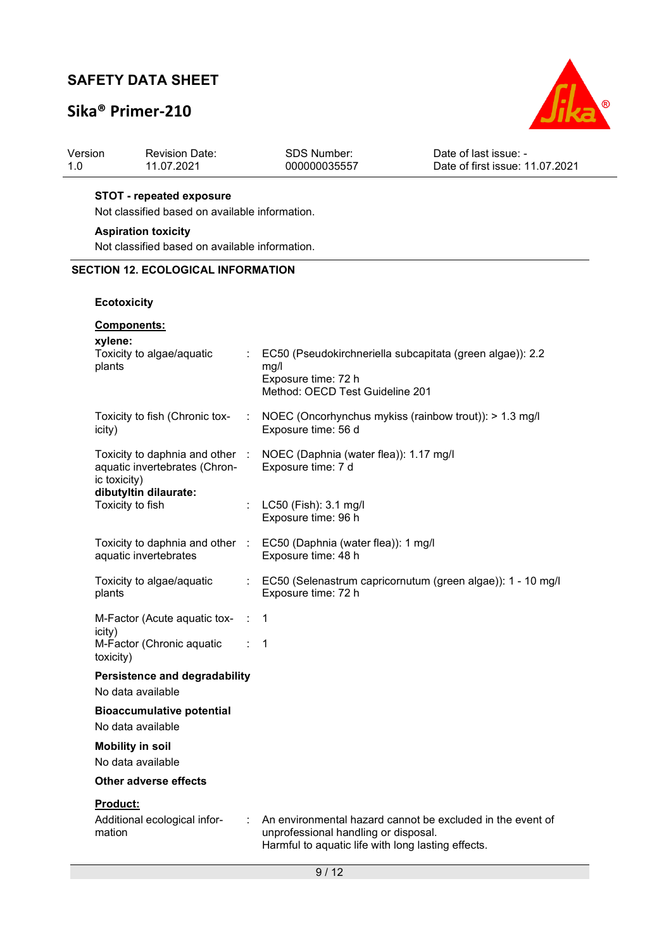## **Sika® Primer-210**



| Revision Date: | SDS Number:  | Date of last issue: -           |
|----------------|--------------|---------------------------------|
| 11.07.2021     | 000000035557 | Date of first issue: 11.07.2021 |

### **STOT - repeated exposure**

Not classified based on available information.

#### **Aspiration toxicity**

Not classified based on available information.

### **SECTION 12. ECOLOGICAL INFORMATION**

### **Ecotoxicity**

| <b>Components:</b>                                                             |        |                                                                                                                                                          |
|--------------------------------------------------------------------------------|--------|----------------------------------------------------------------------------------------------------------------------------------------------------------|
| xylene:<br>Toxicity to algae/aquatic<br>plants                                 |        | EC50 (Pseudokirchneriella subcapitata (green algae)): 2.2<br>mg/l<br>Exposure time: 72 h<br>Method: OECD Test Guideline 201                              |
| Toxicity to fish (Chronic tox-<br>icity)                                       | ÷.     | NOEC (Oncorhynchus mykiss (rainbow trout)): > 1.3 mg/l<br>Exposure time: 56 d                                                                            |
| Toxicity to daphnia and other<br>aquatic invertebrates (Chron-<br>ic toxicity) |        | NOEC (Daphnia (water flea)): 1.17 mg/l<br>Exposure time: 7 d                                                                                             |
| dibutyltin dilaurate:<br>Toxicity to fish                                      |        | LC50 (Fish): 3.1 mg/l<br>Exposure time: 96 h                                                                                                             |
| Toxicity to daphnia and other :<br>aquatic invertebrates                       |        | EC50 (Daphnia (water flea)): 1 mg/l<br>Exposure time: 48 h                                                                                               |
| Toxicity to algae/aquatic<br>plants                                            |        | EC50 (Selenastrum capricornutum (green algae)): 1 - 10 mg/l<br>Exposure time: 72 h                                                                       |
| M-Factor (Acute aquatic tox-                                                   | $\sim$ | -1                                                                                                                                                       |
| icity)<br>M-Factor (Chronic aquatic<br>toxicity)                               |        | 1                                                                                                                                                        |
| <b>Persistence and degradability</b><br>No data available                      |        |                                                                                                                                                          |
| <b>Bioaccumulative potential</b><br>No data available                          |        |                                                                                                                                                          |
| <b>Mobility in soil</b><br>No data available                                   |        |                                                                                                                                                          |
| Other adverse effects                                                          |        |                                                                                                                                                          |
| <b>Product:</b><br>Additional ecological infor-<br>mation                      |        | An environmental hazard cannot be excluded in the event of<br>unprofessional handling or disposal.<br>Harmful to aquatic life with long lasting effects. |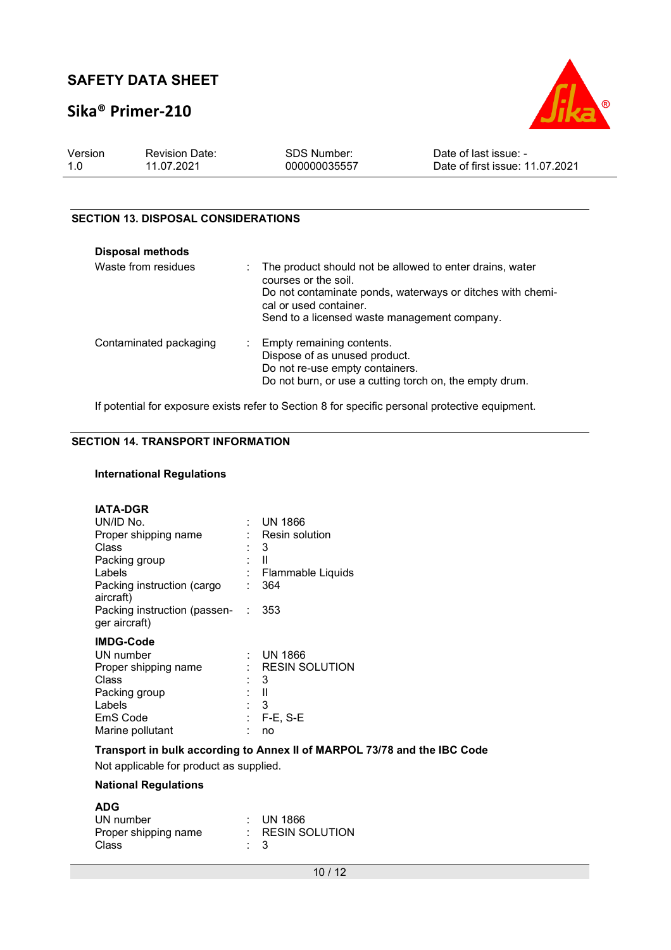## **Sika® Primer-210**



| Version | <b>Revision Date:</b> | SDS Number:  | Date of last issue: -           |
|---------|-----------------------|--------------|---------------------------------|
| 1.0     | 11.07.2021            | 000000035557 | Date of first issue: 11.07.2021 |

### **SECTION 13. DISPOSAL CONSIDERATIONS**

| <b>Disposal methods</b> |                                                                                                                                                                                                                            |
|-------------------------|----------------------------------------------------------------------------------------------------------------------------------------------------------------------------------------------------------------------------|
| Waste from residues     | : The product should not be allowed to enter drains, water<br>courses or the soil.<br>Do not contaminate ponds, waterways or ditches with chemi-<br>cal or used container.<br>Send to a licensed waste management company. |
| Contaminated packaging  | : Empty remaining contents.<br>Dispose of as unused product.<br>Do not re-use empty containers.<br>Do not burn, or use a cutting torch on, the empty drum.                                                                 |

If potential for exposure exists refer to Section 8 for specific personal protective equipment.

### **SECTION 14. TRANSPORT INFORMATION**

#### **International Regulations**

| <b>IATA-DGR</b><br>UN/ID No.<br>Proper shipping name<br>Class<br>Packing group<br>Labels<br>Packing instruction (cargo<br>aircraft)<br>Packing instruction (passen- :<br>ger aircraft) |   | : UN 1866<br>Resin solution<br>- 3<br>Ш<br>Flammable Liquids<br>364<br>353 |
|----------------------------------------------------------------------------------------------------------------------------------------------------------------------------------------|---|----------------------------------------------------------------------------|
| <b>IMDG-Code</b><br>UN number<br>Proper shipping name<br>Class<br>Packing group<br>Labels<br>EmS Code<br>Marine pollutant                                                              | ۰ | UN 1866<br>RESIN SOLUTION<br>3<br>Ш<br>$\therefore$ 3<br>F-E, S-E<br>no    |

**Transport in bulk according to Annex II of MARPOL 73/78 and the IBC Code** 

Not applicable for product as supplied.

### **National Regulations**

| <b>ADG</b>           |                             |
|----------------------|-----------------------------|
| UN number            | $\therefore$ UN 1866        |
| Proper shipping name | $\therefore$ RESIN SOLUTION |
| Class                | $\cdot$ 3                   |
|                      |                             |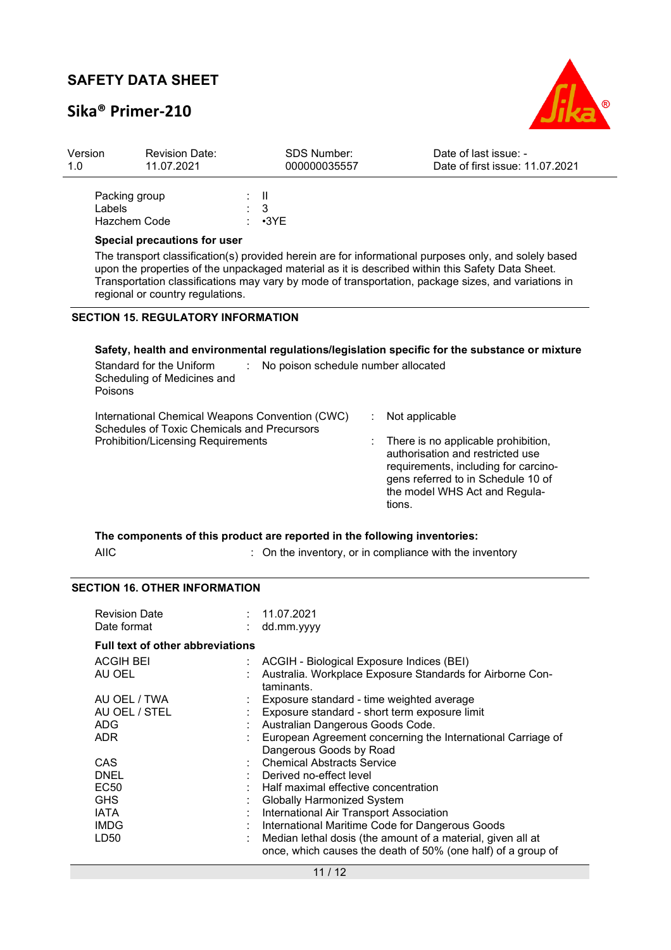## **Sika® Primer-210**



| Version<br>1.0 | <b>Revision Date:</b><br>11.07.2021                                                                                                         | <b>SDS Number:</b><br>000000035557       | Date of last issue: -<br>Date of first issue: 11.07.2021                                                                                                                                                                                                                                                         |
|----------------|---------------------------------------------------------------------------------------------------------------------------------------------|------------------------------------------|------------------------------------------------------------------------------------------------------------------------------------------------------------------------------------------------------------------------------------------------------------------------------------------------------------------|
|                | Packing group<br>Labels<br>Hazchem Code                                                                                                     | H.<br>3<br>$\cdot$ 3YE                   |                                                                                                                                                                                                                                                                                                                  |
|                | <b>Special precautions for user</b><br>regional or country regulations.                                                                     |                                          | The transport classification(s) provided herein are for informational purposes only, and solely based<br>upon the properties of the unpackaged material as it is described within this Safety Data Sheet.<br>Transportation classifications may vary by mode of transportation, package sizes, and variations in |
|                | <b>SECTION 15. REGULATORY INFORMATION</b>                                                                                                   |                                          |                                                                                                                                                                                                                                                                                                                  |
|                | Standard for the Uniform<br>Scheduling of Medicines and<br>Poisons                                                                          | No poison schedule number allocated<br>÷ | Safety, health and environmental regulations/legislation specific for the substance or mixture                                                                                                                                                                                                                   |
|                | International Chemical Weapons Convention (CWC)<br>Schedules of Toxic Chemicals and Precursors<br><b>Prohibition/Licensing Requirements</b> |                                          | ÷<br>Not applicable<br>There is no applicable prohibition,<br>authorisation and restricted use<br>requirements, including for carcino-<br>gens referred to in Schedule 10 of<br>the model WHS Act and Regula-<br>tions.                                                                                          |
|                | The components of this product are reported in the following inventories:                                                                   |                                          |                                                                                                                                                                                                                                                                                                                  |
|                | <b>AIIC</b>                                                                                                                                 |                                          | : On the inventory, or in compliance with the inventory                                                                                                                                                                                                                                                          |

### **SECTION 16. OTHER INFORMATION**

| <b>Revision Date</b><br>Date format     | : 11.07.2021<br>dd.mm.yyyy                                                                                                  |
|-----------------------------------------|-----------------------------------------------------------------------------------------------------------------------------|
| <b>Full text of other abbreviations</b> |                                                                                                                             |
| ACGIH BEI<br>AU OEL                     | : ACGIH - Biological Exposure Indices (BEI)<br>Australia. Workplace Exposure Standards for Airborne Con-                    |
|                                         | taminants.                                                                                                                  |
| AU OEL / TWA                            | Exposure standard - time weighted average                                                                                   |
| AU OEL / STEL                           | Exposure standard - short term exposure limit                                                                               |
| ADG.                                    | Australian Dangerous Goods Code.                                                                                            |
| <b>ADR</b>                              | European Agreement concerning the International Carriage of                                                                 |
|                                         | Dangerous Goods by Road                                                                                                     |
| CAS                                     | <b>Chemical Abstracts Service</b>                                                                                           |
| <b>DNEL</b>                             | Derived no-effect level                                                                                                     |
| EC <sub>50</sub>                        | Half maximal effective concentration                                                                                        |
| <b>GHS</b>                              | Globally Harmonized System                                                                                                  |
| <b>IATA</b>                             | International Air Transport Association                                                                                     |
| <b>IMDG</b>                             | International Maritime Code for Dangerous Goods                                                                             |
| LD50                                    | Median lethal dosis (the amount of a material, given all at<br>once, which causes the death of 50% (one half) of a group of |